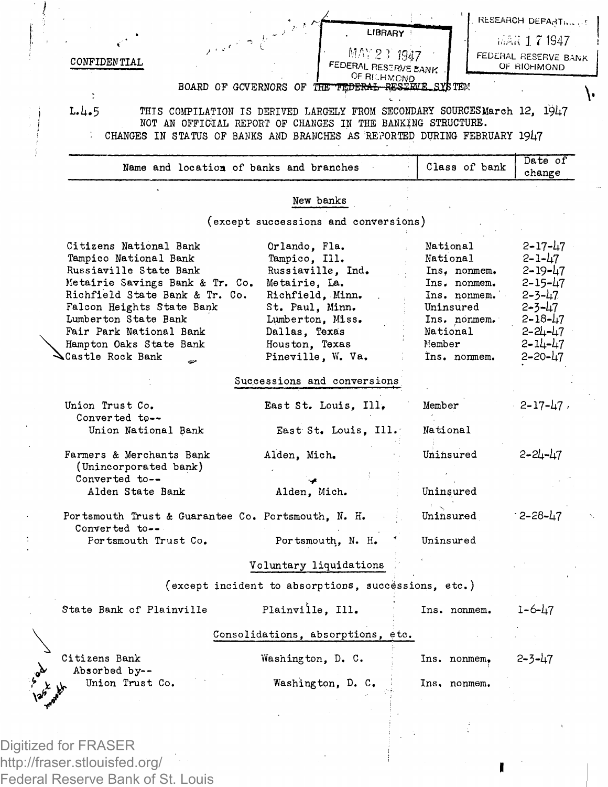

Digitized for FRASER http://fraser.stlouisfed.org/ Federal Reserve Bank of St. Louis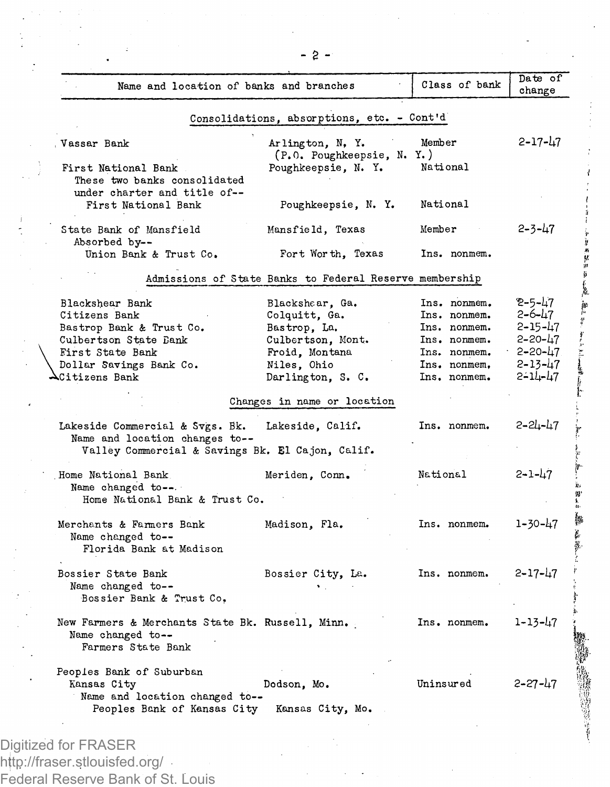| Name and location of banks and branches                                                                               |                                                         | Class of bank | Date of<br>change |
|-----------------------------------------------------------------------------------------------------------------------|---------------------------------------------------------|---------------|-------------------|
|                                                                                                                       | Consolidations, absorptions, etc. - Cont'd              |               |                   |
| Vassar Bank                                                                                                           | Arlington, N.Y.<br>(P.O. Poughkeepsie, N. Y.)           | Member        | $2 - 17 - 47$     |
| First National Bank<br>These two banks consolidated                                                                   | Poughkeepsie, N. Y.                                     | National      |                   |
| under charter and title of--<br>First National Bank                                                                   | Poughkeepsie, N. Y.                                     | National      |                   |
| State Bank of Mansfield<br>Absorbed by --                                                                             | Mansfield, Texas                                        | Member        | $2 - 3 - 47$      |
| Union Bank & Trust Co.                                                                                                | Fort Worth, Texas                                       | Ins. nonmem.  |                   |
|                                                                                                                       | Admissions of State Banks to Federal Reserve membership |               |                   |
| Blackshear Bank                                                                                                       | Blackshaar, Ga.                                         | Ins. nonmem.  | 2-5-47            |
| Citizens Bank                                                                                                         | Colquitt, Ga.                                           | Ins. nonmem.  | 2-6-47            |
| Bastrop Bank & Trust Co.                                                                                              | Bastrop, La.                                            | Ins. nonmem.  | $2 - 15 - 47$     |
| Culbertson State Bank                                                                                                 | Culbertson, Mont.                                       | Ins. nonmem.  | $2 - 20 - 47$     |
| First State Bank                                                                                                      | Froid, Montana                                          | Ins. nonmem.  | $2 - 20 - 47$     |
| Dollar Savings Bank Co.                                                                                               | Niles, Ohio                                             | Ins. nonmem.  | $2 - 13 - 47$     |
| Citizens Bank                                                                                                         | Darlington, S. C.                                       | Ins. nonmem.  | $2 - 11 - 47$     |
|                                                                                                                       | Changes in name or location                             |               |                   |
| Lakeside Commercial & Svgs. Bk.<br>Name and location changes to--<br>Valley Commercial & Savings Bk. El Cajon, Calif. | Lakeside. Calif.                                        | Ins. nonmem.  | 2-24-47           |
| Home National Bank                                                                                                    | Meriden, Conn.                                          | National      | 2-1-47            |
| Name changed to--.<br>Home National Bank & Trust Co.                                                                  |                                                         |               |                   |
| Merchants & Farmers Bank                                                                                              | Madison, Fla.                                           | Ins. nonmem.  | 1-30-47           |
| Name changed to --<br>Florida Bank at Madison                                                                         |                                                         |               |                   |
| Bossier State Bank<br>Name changed to--<br>Bossier Bank & Trust Co,                                                   | Bossier City, La.                                       | Ins. nonmem.  | $2 - 17 - 47$     |
|                                                                                                                       |                                                         |               |                   |
| New Farmers & Merchants State Bk. Russell, Minn.<br>Name changed to--<br>Farmers State Bank                           |                                                         | Ins. nonmem.  | 1-13-47           |

Federal Reserve Bank of St. Louis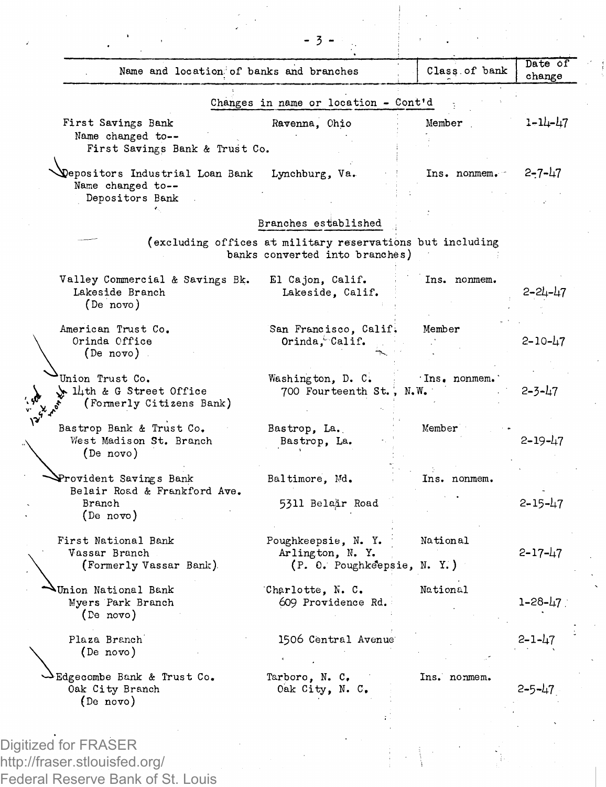| Name and location of banks and branches                   |                                                                                             | Class of bank | Date of<br>change |
|-----------------------------------------------------------|---------------------------------------------------------------------------------------------|---------------|-------------------|
|                                                           | Changes in name or location - Cont'd                                                        |               |                   |
| First Savings Bank<br>Name changed to--                   | Ravenna, Chio                                                                               | Member        | $1 - 14 - 47$     |
| First Savings Bank & Trust Co.                            |                                                                                             |               |                   |
| Depositors Industrial Loan Bank<br>Name changed to --     | Lynchburg, Va.                                                                              | Ins. nonmem.  | 2-7-47            |
| Depositors Bank                                           | Branches established                                                                        |               |                   |
|                                                           |                                                                                             |               |                   |
|                                                           | (excluding offices at military reservations but including<br>banks converted into branches) |               |                   |
| Valley Commercial & Savings Bk.                           | El Cajon, Calif.                                                                            | Ins. nonmem.  |                   |
| Lakeside Branch<br>(De novo)                              | Lakeside, Calif.                                                                            |               | 2-24-47           |
| American Trust Co.                                        | San Francisco, Calif.                                                                       | Member        |                   |
| Orinda Office<br>(De novo)                                | Orinda, Calif.                                                                              |               | 2-10-47           |
| Union Trust Co.                                           | Washington, D. C.                                                                           | Ins. nonmem.  |                   |
| 14th & G Street Office<br>(Formerly Citizens Bank)        | 700 Fourteenth St., N.W.                                                                    |               | 2-3-47            |
| Bastrop Bank & Trust Co.<br>West Madison St. Branch       | Bastrop, La.                                                                                | Member        | 2-19-47           |
| (De novo)                                                 | Bastrop, La.                                                                                |               |                   |
| Provident Savings Bank<br>Belair Road & Frankford Ave.    | Baltimore, Md.                                                                              | Ins. nonmem.  |                   |
| Branch<br>(De novo)                                       | 5311 Belair Road                                                                            |               | $2 - 15 - 47$     |
| First National Bank                                       | Poughkeepsie, N. Y.                                                                         | National      |                   |
| Vassar Branch<br>(Formerly Vassar Bank).                  | Arlington, N.Y.<br>(P. O. Poughkeepsie, N. Y.)                                              |               | $2 - 17 - 47$     |
| Union National Bank                                       | Charlotte, N. C.                                                                            | National      |                   |
| Myers Park Branch<br>(De novo)                            | 609 Providence Rd.                                                                          |               | 1-28-47           |
| Plaza Branch                                              | 1506 Central Avenue                                                                         |               | $2 - 1 - 47$      |
| (De novo)                                                 |                                                                                             |               |                   |
| Edgecombe Bank & Trust Co.<br>Oak City Branch<br>(De nov) | Tarboro, N. C.<br>Oak City, N. C.                                                           | Ins. nonmem.  | 2-5-47            |

Digitized for FRASER http://fraser.stlouisfed.org/ Federal Reserve Bank of St. Louis  $\hat{\mathcal{A}}$ 

 $\sim$